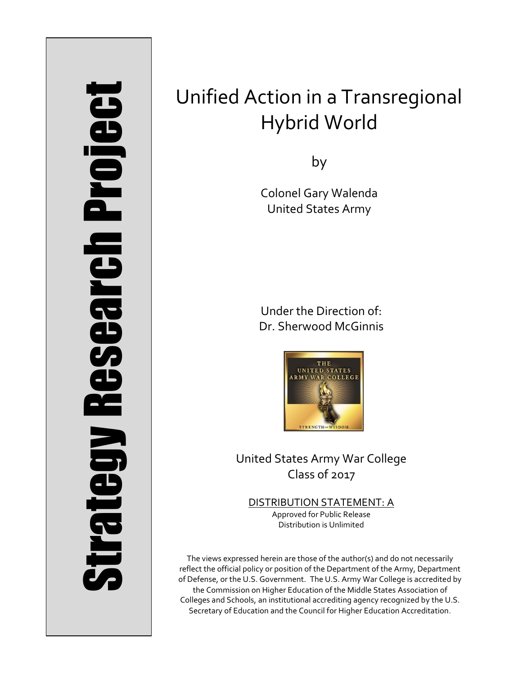# Strategy Research Project **Strategy Research Project**

# Unified Action in a Transregional Hybrid World

by

Colonel Gary Walenda United States Army

Under the Direction of: Dr. Sherwood McGinnis



United States Army War College Class of 2017

DISTRIBUTION STATEMENT: A Approved for Public Release Distribution is Unlimited

The views expressed herein are those of the author(s) and do not necessarily reflect the official policy or position of the Department of the Army, Department of Defense, or the U.S. Government. The U.S. Army War College is accredited by the Commission on Higher Education of the Middle States Association of Colleges and Schools, an institutional accrediting agency recognized by the U.S. Secretary of Education and the Council for Higher Education Accreditation.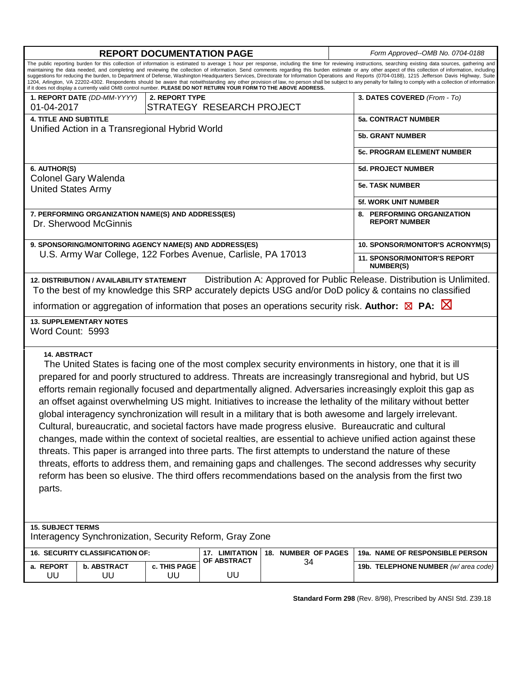| <b>REPORT DOCUMENTATION PAGE</b>                                                                                                                                                                                                                                                                                                                                                                                                                                                                                                                                                                                                                                                                                                                                                                                                                                                                                                                                                                                                                                                                                                                     |                                 |                    |                                     |                           |  | Form Approved--OMB No. 0704-0188                        |  |
|------------------------------------------------------------------------------------------------------------------------------------------------------------------------------------------------------------------------------------------------------------------------------------------------------------------------------------------------------------------------------------------------------------------------------------------------------------------------------------------------------------------------------------------------------------------------------------------------------------------------------------------------------------------------------------------------------------------------------------------------------------------------------------------------------------------------------------------------------------------------------------------------------------------------------------------------------------------------------------------------------------------------------------------------------------------------------------------------------------------------------------------------------|---------------------------------|--------------------|-------------------------------------|---------------------------|--|---------------------------------------------------------|--|
| The public reporting burden for this collection of information is estimated to average 1 hour per response, including the time for reviewing instructions, searching existing data sources, gathering and<br>maintaining the data needed, and completing and reviewing the collection of information. Send comments regarding this burden estimate or any other aspect of this collection of information, including<br>suggestions for reducing the burden, to Department of Defense, Washington Headquarters Services, Directorate for Information Operations and Reports (0704-0188), 1215 Jefferson Davis Highway, Suite<br>1204, Arlington, VA 22202-4302. Respondents should be aware that notwithstanding any other provision of law, no person shall be subject to any penalty for failing to comply with a collection of information<br>if it does not display a currently valid OMB control number. PLEASE DO NOT RETURN YOUR FORM TO THE ABOVE ADDRESS.                                                                                                                                                                                    |                                 |                    |                                     |                           |  |                                                         |  |
|                                                                                                                                                                                                                                                                                                                                                                                                                                                                                                                                                                                                                                                                                                                                                                                                                                                                                                                                                                                                                                                                                                                                                      | 1. REPORT DATE (DD-MM-YYYY)     | 2. REPORT TYPE     |                                     |                           |  | 3. DATES COVERED (From - To)                            |  |
| 01-04-2017                                                                                                                                                                                                                                                                                                                                                                                                                                                                                                                                                                                                                                                                                                                                                                                                                                                                                                                                                                                                                                                                                                                                           |                                 |                    | STRATEGY RESEARCH PROJECT           |                           |  |                                                         |  |
| <b>4. TITLE AND SUBTITLE</b><br>Unified Action in a Transregional Hybrid World                                                                                                                                                                                                                                                                                                                                                                                                                                                                                                                                                                                                                                                                                                                                                                                                                                                                                                                                                                                                                                                                       |                                 |                    |                                     |                           |  | <b>5a. CONTRACT NUMBER</b>                              |  |
|                                                                                                                                                                                                                                                                                                                                                                                                                                                                                                                                                                                                                                                                                                                                                                                                                                                                                                                                                                                                                                                                                                                                                      |                                 |                    |                                     |                           |  | <b>5b. GRANT NUMBER</b>                                 |  |
|                                                                                                                                                                                                                                                                                                                                                                                                                                                                                                                                                                                                                                                                                                                                                                                                                                                                                                                                                                                                                                                                                                                                                      |                                 |                    |                                     |                           |  | <b>5c. PROGRAM ELEMENT NUMBER</b>                       |  |
| 6. AUTHOR(S)                                                                                                                                                                                                                                                                                                                                                                                                                                                                                                                                                                                                                                                                                                                                                                                                                                                                                                                                                                                                                                                                                                                                         | <b>Colonel Gary Walenda</b>     |                    |                                     |                           |  | <b>5d. PROJECT NUMBER</b>                               |  |
| <b>United States Army</b>                                                                                                                                                                                                                                                                                                                                                                                                                                                                                                                                                                                                                                                                                                                                                                                                                                                                                                                                                                                                                                                                                                                            |                                 |                    |                                     | <b>5e. TASK NUMBER</b>    |  |                                                         |  |
|                                                                                                                                                                                                                                                                                                                                                                                                                                                                                                                                                                                                                                                                                                                                                                                                                                                                                                                                                                                                                                                                                                                                                      |                                 |                    |                                     |                           |  | <b>5f. WORK UNIT NUMBER</b>                             |  |
| 7. PERFORMING ORGANIZATION NAME(S) AND ADDRESS(ES)<br>Dr. Sherwood McGinnis                                                                                                                                                                                                                                                                                                                                                                                                                                                                                                                                                                                                                                                                                                                                                                                                                                                                                                                                                                                                                                                                          |                                 |                    |                                     |                           |  | 8. PERFORMING ORGANIZATION<br><b>REPORT NUMBER</b>      |  |
| 9. SPONSORING/MONITORING AGENCY NAME(S) AND ADDRESS(ES)                                                                                                                                                                                                                                                                                                                                                                                                                                                                                                                                                                                                                                                                                                                                                                                                                                                                                                                                                                                                                                                                                              |                                 |                    |                                     |                           |  | 10. SPONSOR/MONITOR'S ACRONYM(S)                        |  |
| U.S. Army War College, 122 Forbes Avenue, Carlisle, PA 17013                                                                                                                                                                                                                                                                                                                                                                                                                                                                                                                                                                                                                                                                                                                                                                                                                                                                                                                                                                                                                                                                                         |                                 |                    |                                     |                           |  | <b>11. SPONSOR/MONITOR'S REPORT</b><br><b>NUMBER(S)</b> |  |
| Distribution A: Approved for Public Release. Distribution is Unlimited.<br><b>12. DISTRIBUTION / AVAILABILITY STATEMENT</b><br>To the best of my knowledge this SRP accurately depicts USG and/or DoD policy & contains no classified<br>information or aggregation of information that poses an operations security risk. Author: $\boxtimes$ PA: $\boxtimes$                                                                                                                                                                                                                                                                                                                                                                                                                                                                                                                                                                                                                                                                                                                                                                                       |                                 |                    |                                     |                           |  |                                                         |  |
| <b>13. SUPPLEMENTARY NOTES</b>                                                                                                                                                                                                                                                                                                                                                                                                                                                                                                                                                                                                                                                                                                                                                                                                                                                                                                                                                                                                                                                                                                                       |                                 |                    |                                     |                           |  |                                                         |  |
| Word Count: 5993                                                                                                                                                                                                                                                                                                                                                                                                                                                                                                                                                                                                                                                                                                                                                                                                                                                                                                                                                                                                                                                                                                                                     |                                 |                    |                                     |                           |  |                                                         |  |
| <b>14. ABSTRACT</b><br>The United States is facing one of the most complex security environments in history, one that it is ill<br>prepared for and poorly structured to address. Threats are increasingly transregional and hybrid, but US<br>efforts remain regionally focused and departmentally aligned. Adversaries increasingly exploit this gap as<br>an offset against overwhelming US might. Initiatives to increase the lethality of the military without better<br>global interagency synchronization will result in a military that is both awesome and largely irrelevant.<br>Cultural, bureaucratic, and societal factors have made progress elusive. Bureaucratic and cultural<br>changes, made within the context of societal realties, are essential to achieve unified action against these<br>threats. This paper is arranged into three parts. The first attempts to understand the nature of these<br>threats, efforts to address them, and remaining gaps and challenges. The second addresses why security<br>reform has been so elusive. The third offers recommendations based on the analysis from the first two<br>parts. |                                 |                    |                                     |                           |  |                                                         |  |
| <b>15. SUBJECT TERMS</b><br>Interagency Synchronization, Security Reform, Gray Zone                                                                                                                                                                                                                                                                                                                                                                                                                                                                                                                                                                                                                                                                                                                                                                                                                                                                                                                                                                                                                                                                  |                                 |                    |                                     |                           |  |                                                         |  |
|                                                                                                                                                                                                                                                                                                                                                                                                                                                                                                                                                                                                                                                                                                                                                                                                                                                                                                                                                                                                                                                                                                                                                      | 16. SECURITY CLASSIFICATION OF: |                    | 17. LIMITATION<br>OF ABSTRACT<br>UU | 18. NUMBER OF PAGES<br>34 |  | 19a. NAME OF RESPONSIBLE PERSON                         |  |
| a. REPORT<br>UU                                                                                                                                                                                                                                                                                                                                                                                                                                                                                                                                                                                                                                                                                                                                                                                                                                                                                                                                                                                                                                                                                                                                      | <b>b. ABSTRACT</b><br>UU        | c. THIS PAGE<br>UU |                                     |                           |  | 19b. TELEPHONE NUMBER (w/area code)                     |  |
|                                                                                                                                                                                                                                                                                                                                                                                                                                                                                                                                                                                                                                                                                                                                                                                                                                                                                                                                                                                                                                                                                                                                                      |                                 |                    |                                     |                           |  |                                                         |  |

**Standard Form 298** (Rev. 8/98), Prescribed by ANSI Std. Z39.18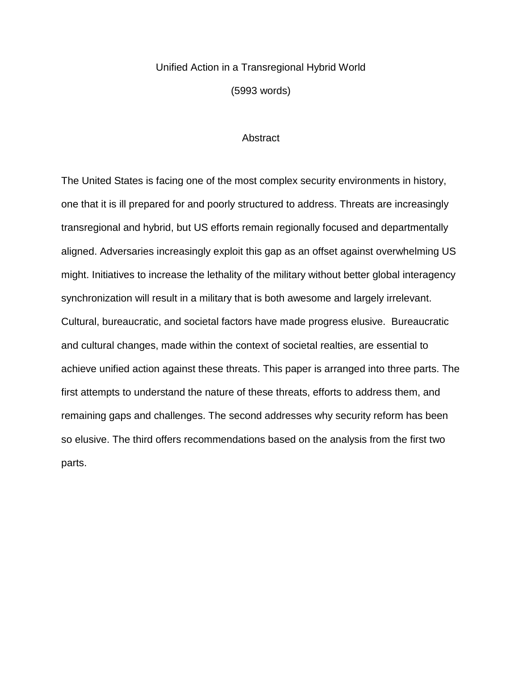# Unified Action in a Transregional Hybrid World

(5993 words)

# **Abstract**

The United States is facing one of the most complex security environments in history, one that it is ill prepared for and poorly structured to address. Threats are increasingly transregional and hybrid, but US efforts remain regionally focused and departmentally aligned. Adversaries increasingly exploit this gap as an offset against overwhelming US might. Initiatives to increase the lethality of the military without better global interagency synchronization will result in a military that is both awesome and largely irrelevant. Cultural, bureaucratic, and societal factors have made progress elusive. Bureaucratic and cultural changes, made within the context of societal realties, are essential to achieve unified action against these threats. This paper is arranged into three parts. The first attempts to understand the nature of these threats, efforts to address them, and remaining gaps and challenges. The second addresses why security reform has been so elusive. The third offers recommendations based on the analysis from the first two parts.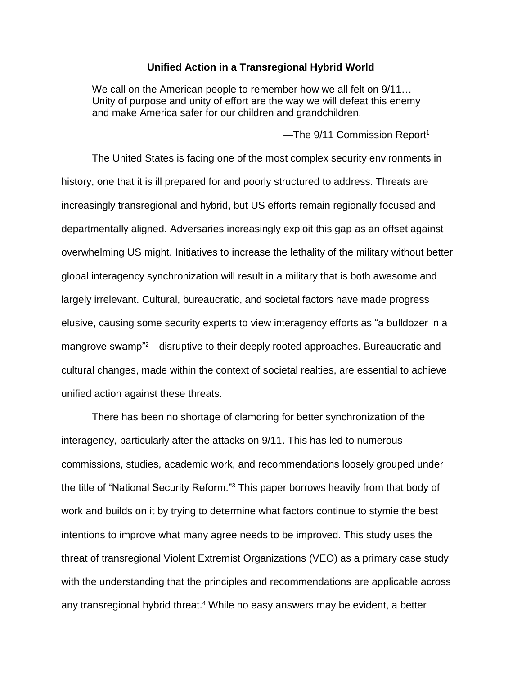# **Unified Action in a Transregional Hybrid World**

We call on the American people to remember how we all felt on 9/11… Unity of purpose and unity of effort are the way we will defeat this enemy and make America safer for our children and grandchildren.

 $-$ The 9/11 Commission Report<sup>1</sup>

The United States is facing one of the most complex security environments in history, one that it is ill prepared for and poorly structured to address. Threats are increasingly transregional and hybrid, but US efforts remain regionally focused and departmentally aligned. Adversaries increasingly exploit this gap as an offset against overwhelming US might. Initiatives to increase the lethality of the military without better global interagency synchronization will result in a military that is both awesome and largely irrelevant. Cultural, bureaucratic, and societal factors have made progress elusive, causing some security experts to view interagency efforts as "a bulldozer in a mangrove swamp"2—disruptive to their deeply rooted approaches. Bureaucratic and cultural changes, made within the context of societal realties, are essential to achieve unified action against these threats.

There has been no shortage of clamoring for better synchronization of the interagency, particularly after the attacks on 9/11. This has led to numerous commissions, studies, academic work, and recommendations loosely grouped under the title of "National Security Reform."<sup>3</sup> This paper borrows heavily from that body of work and builds on it by trying to determine what factors continue to stymie the best intentions to improve what many agree needs to be improved. This study uses the threat of transregional Violent Extremist Organizations (VEO) as a primary case study with the understanding that the principles and recommendations are applicable across any transregional hybrid threat. <sup>4</sup> While no easy answers may be evident, a better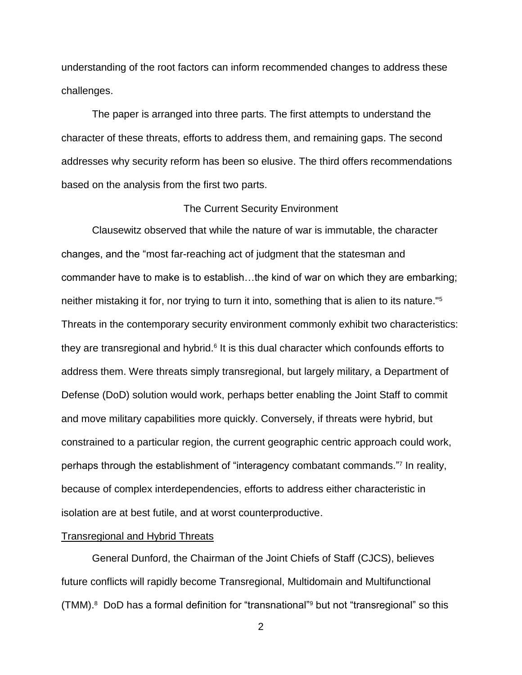understanding of the root factors can inform recommended changes to address these challenges.

The paper is arranged into three parts. The first attempts to understand the character of these threats, efforts to address them, and remaining gaps. The second addresses why security reform has been so elusive. The third offers recommendations based on the analysis from the first two parts.

# The Current Security Environment

Clausewitz observed that while the nature of war is immutable, the character changes, and the "most far-reaching act of judgment that the statesman and commander have to make is to establish…the kind of war on which they are embarking; neither mistaking it for, nor trying to turn it into, something that is alien to its nature."<sup>5</sup> Threats in the contemporary security environment commonly exhibit two characteristics: they are transregional and hybrid.<sup>6</sup> It is this dual character which confounds efforts to address them. Were threats simply transregional, but largely military, a Department of Defense (DoD) solution would work, perhaps better enabling the Joint Staff to commit and move military capabilities more quickly. Conversely, if threats were hybrid, but constrained to a particular region, the current geographic centric approach could work, perhaps through the establishment of "interagency combatant commands." 7 In reality, because of complex interdependencies, efforts to address either characteristic in isolation are at best futile, and at worst counterproductive.

## Transregional and Hybrid Threats

General Dunford, the Chairman of the Joint Chiefs of Staff (CJCS), believes future conflicts will rapidly become Transregional, Multidomain and Multifunctional (TMM). $8$  DoD has a formal definition for "transnational" but not "transregional" so this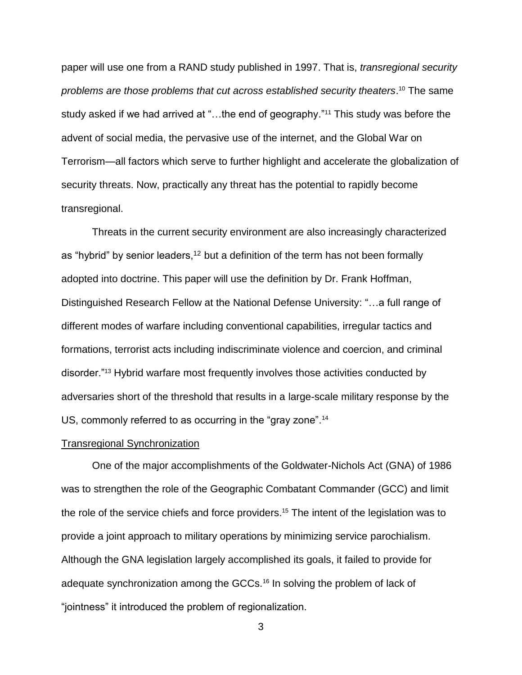paper will use one from a RAND study published in 1997. That is, *transregional security problems are those problems that cut across established security theaters*. <sup>10</sup> The same study asked if we had arrived at "...the end of geography."<sup>11</sup> This study was before the advent of social media, the pervasive use of the internet, and the Global War on Terrorism—all factors which serve to further highlight and accelerate the globalization of security threats. Now, practically any threat has the potential to rapidly become transregional.

Threats in the current security environment are also increasingly characterized as "hybrid" by senior leaders,  $12$  but a definition of the term has not been formally adopted into doctrine. This paper will use the definition by Dr. Frank Hoffman, Distinguished Research Fellow at the National Defense University: "…a full range of different modes of warfare including conventional capabilities, irregular tactics and formations, terrorist acts including indiscriminate violence and coercion, and criminal disorder."<sup>13</sup> Hybrid warfare most frequently involves those activities conducted by adversaries short of the threshold that results in a large-scale military response by the US, commonly referred to as occurring in the "gray zone".<sup>14</sup>

#### Transregional Synchronization

One of the major accomplishments of the Goldwater-Nichols Act (GNA) of 1986 was to strengthen the role of the Geographic Combatant Commander (GCC) and limit the role of the service chiefs and force providers. <sup>15</sup> The intent of the legislation was to provide a joint approach to military operations by minimizing service parochialism. Although the GNA legislation largely accomplished its goals, it failed to provide for adequate synchronization among the GCCs.<sup>16</sup> In solving the problem of lack of "jointness" it introduced the problem of regionalization.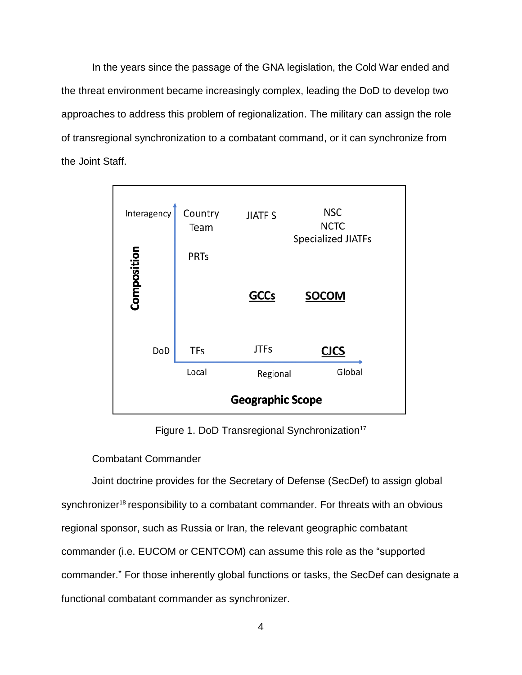In the years since the passage of the GNA legislation, the Cold War ended and the threat environment became increasingly complex, leading the DoD to develop two approaches to address this problem of regionalization. The military can assign the role of transregional synchronization to a combatant command, or it can synchronize from the Joint Staff.



Figure 1. DoD Transregional Synchronization<sup>17</sup>

# Combatant Commander

Joint doctrine provides for the Secretary of Defense (SecDef) to assign global synchronizer<sup>18</sup> responsibility to a combatant commander. For threats with an obvious regional sponsor, such as Russia or Iran, the relevant geographic combatant commander (i.e. EUCOM or CENTCOM) can assume this role as the "supported commander." For those inherently global functions or tasks, the SecDef can designate a functional combatant commander as synchronizer.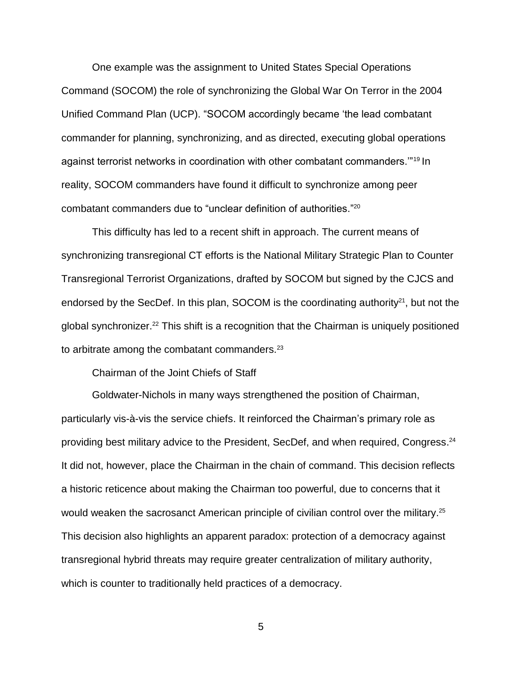One example was the assignment to United States Special Operations Command (SOCOM) the role of synchronizing the Global War On Terror in the 2004 Unified Command Plan (UCP). "SOCOM accordingly became 'the lead combatant commander for planning, synchronizing, and as directed, executing global operations against terrorist networks in coordination with other combatant commanders.'"<sup>19</sup> In reality, SOCOM commanders have found it difficult to synchronize among peer combatant commanders due to "unclear definition of authorities." 20

This difficulty has led to a recent shift in approach. The current means of synchronizing transregional CT efforts is the National Military Strategic Plan to Counter Transregional Terrorist Organizations, drafted by SOCOM but signed by the CJCS and endorsed by the SecDef. In this plan, SOCOM is the coordinating authority $21$ , but not the global synchronizer.<sup>22</sup> This shift is a recognition that the Chairman is uniquely positioned to arbitrate among the combatant commanders.<sup>23</sup>

Chairman of the Joint Chiefs of Staff

Goldwater-Nichols in many ways strengthened the position of Chairman, particularly vis-à-vis the service chiefs. It reinforced the Chairman's primary role as providing best military advice to the President, SecDef, and when required, Congress. 24 It did not, however, place the Chairman in the chain of command. This decision reflects a historic reticence about making the Chairman too powerful, due to concerns that it would weaken the sacrosanct American principle of civilian control over the military.<sup>25</sup> This decision also highlights an apparent paradox: protection of a democracy against transregional hybrid threats may require greater centralization of military authority, which is counter to traditionally held practices of a democracy.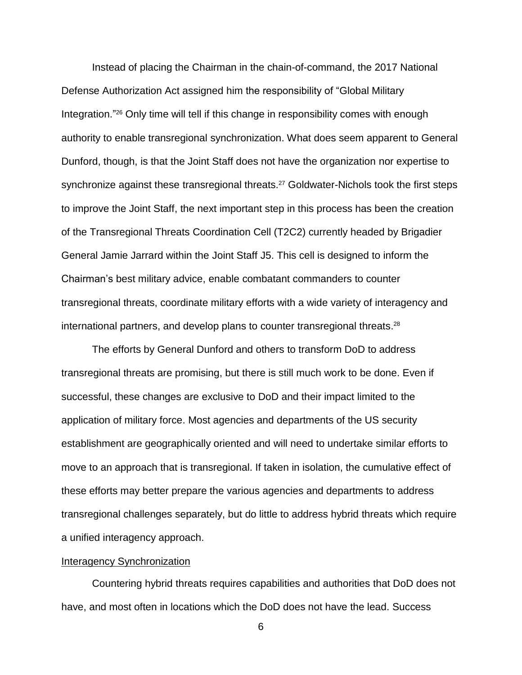Instead of placing the Chairman in the chain-of-command, the 2017 National Defense Authorization Act assigned him the responsibility of "Global Military Integration."<sup>26</sup> Only time will tell if this change in responsibility comes with enough authority to enable transregional synchronization. What does seem apparent to General Dunford, though, is that the Joint Staff does not have the organization nor expertise to synchronize against these transregional threats.<sup>27</sup> Goldwater-Nichols took the first steps to improve the Joint Staff, the next important step in this process has been the creation of the Transregional Threats Coordination Cell (T2C2) currently headed by Brigadier General Jamie Jarrard within the Joint Staff J5. This cell is designed to inform the Chairman's best military advice, enable combatant commanders to counter transregional threats, coordinate military efforts with a wide variety of interagency and international partners, and develop plans to counter transregional threats. 28

The efforts by General Dunford and others to transform DoD to address transregional threats are promising, but there is still much work to be done. Even if successful, these changes are exclusive to DoD and their impact limited to the application of military force. Most agencies and departments of the US security establishment are geographically oriented and will need to undertake similar efforts to move to an approach that is transregional. If taken in isolation, the cumulative effect of these efforts may better prepare the various agencies and departments to address transregional challenges separately, but do little to address hybrid threats which require a unified interagency approach.

#### Interagency Synchronization

Countering hybrid threats requires capabilities and authorities that DoD does not have, and most often in locations which the DoD does not have the lead. Success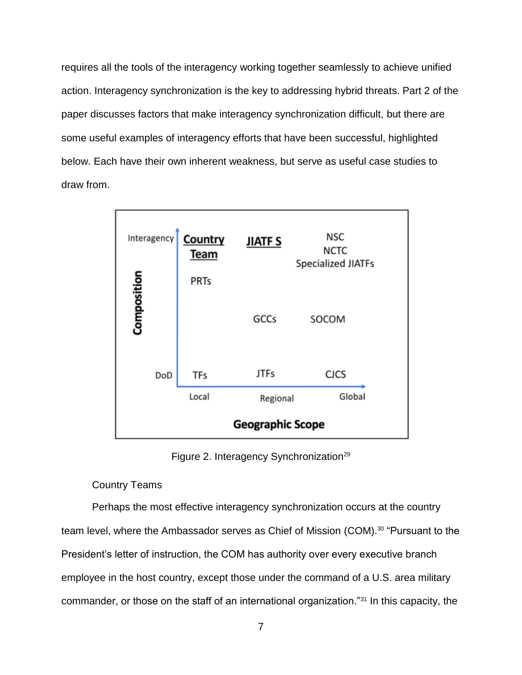requires all the tools of the interagency working together seamlessly to achieve unified action. Interagency synchronization is the key to addressing hybrid threats. Part 2 of the paper discusses factors that make interagency synchronization difficult, but there are some useful examples of interagency efforts that have been successful, highlighted below. Each have their own inherent weakness, but serve as useful case studies to draw from.



Figure 2. Interagency Synchronization<sup>29</sup>

# Country Teams

Perhaps the most effective interagency synchronization occurs at the country team level, where the Ambassador serves as Chief of Mission (COM).<sup>30</sup> "Pursuant to the President's letter of instruction, the COM has authority over every executive branch employee in the host country, except those under the command of a U.S. area military commander, or those on the staff of an international organization."<sup>31</sup> In this capacity, the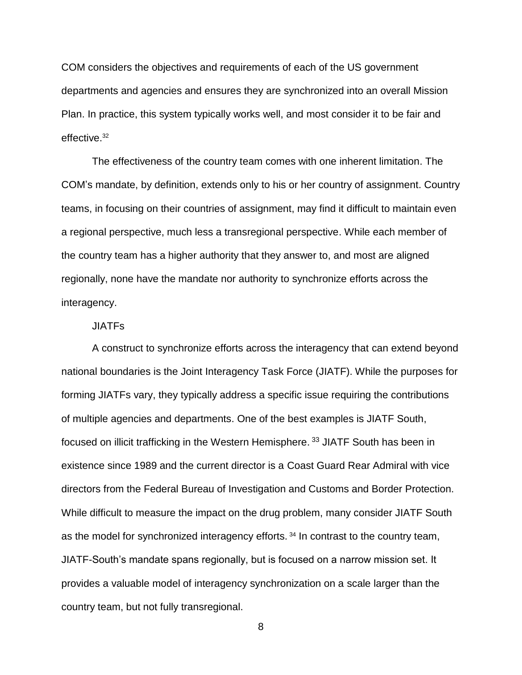COM considers the objectives and requirements of each of the US government departments and agencies and ensures they are synchronized into an overall Mission Plan. In practice, this system typically works well, and most consider it to be fair and effective.<sup>32</sup>

The effectiveness of the country team comes with one inherent limitation. The COM's mandate, by definition, extends only to his or her country of assignment. Country teams, in focusing on their countries of assignment, may find it difficult to maintain even a regional perspective, much less a transregional perspective. While each member of the country team has a higher authority that they answer to, and most are aligned regionally, none have the mandate nor authority to synchronize efforts across the interagency.

# JIATFs

A construct to synchronize efforts across the interagency that can extend beyond national boundaries is the Joint Interagency Task Force (JIATF). While the purposes for forming JIATFs vary, they typically address a specific issue requiring the contributions of multiple agencies and departments. One of the best examples is JIATF South, focused on illicit trafficking in the Western Hemisphere.<sup>33</sup> JIATF South has been in existence since 1989 and the current director is a Coast Guard Rear Admiral with vice directors from the Federal Bureau of Investigation and Customs and Border Protection. While difficult to measure the impact on the drug problem, many consider JIATF South as the model for synchronized interagency efforts.<sup>34</sup> In contrast to the country team, JIATF-South's mandate spans regionally, but is focused on a narrow mission set. It provides a valuable model of interagency synchronization on a scale larger than the country team, but not fully transregional.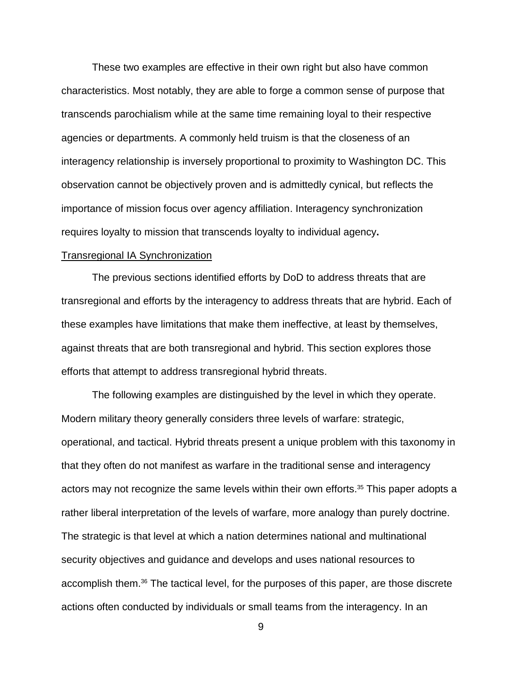These two examples are effective in their own right but also have common characteristics. Most notably, they are able to forge a common sense of purpose that transcends parochialism while at the same time remaining loyal to their respective agencies or departments. A commonly held truism is that the closeness of an interagency relationship is inversely proportional to proximity to Washington DC. This observation cannot be objectively proven and is admittedly cynical, but reflects the importance of mission focus over agency affiliation. Interagency synchronization requires loyalty to mission that transcends loyalty to individual agency**.** 

## Transregional IA Synchronization

The previous sections identified efforts by DoD to address threats that are transregional and efforts by the interagency to address threats that are hybrid. Each of these examples have limitations that make them ineffective, at least by themselves, against threats that are both transregional and hybrid. This section explores those efforts that attempt to address transregional hybrid threats.

The following examples are distinguished by the level in which they operate. Modern military theory generally considers three levels of warfare: strategic, operational, and tactical. Hybrid threats present a unique problem with this taxonomy in that they often do not manifest as warfare in the traditional sense and interagency actors may not recognize the same levels within their own efforts.<sup>35</sup> This paper adopts a rather liberal interpretation of the levels of warfare, more analogy than purely doctrine. The strategic is that level at which a nation determines national and multinational security objectives and guidance and develops and uses national resources to accomplish them.<sup>36</sup> The tactical level, for the purposes of this paper, are those discrete actions often conducted by individuals or small teams from the interagency. In an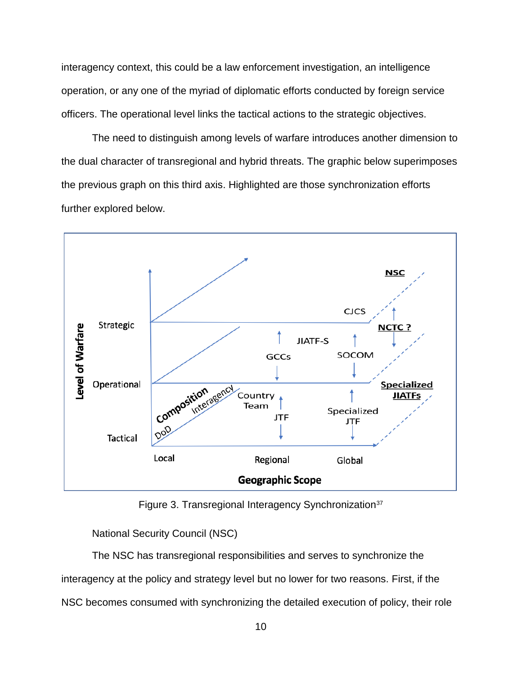interagency context, this could be a law enforcement investigation, an intelligence operation, or any one of the myriad of diplomatic efforts conducted by foreign service officers. The operational level links the tactical actions to the strategic objectives.

The need to distinguish among levels of warfare introduces another dimension to the dual character of transregional and hybrid threats. The graphic below superimposes the previous graph on this third axis. Highlighted are those synchronization efforts further explored below.



Figure 3. Transregional Interagency Synchronization<sup>37</sup>

National Security Council (NSC)

The NSC has transregional responsibilities and serves to synchronize the interagency at the policy and strategy level but no lower for two reasons. First, if the NSC becomes consumed with synchronizing the detailed execution of policy, their role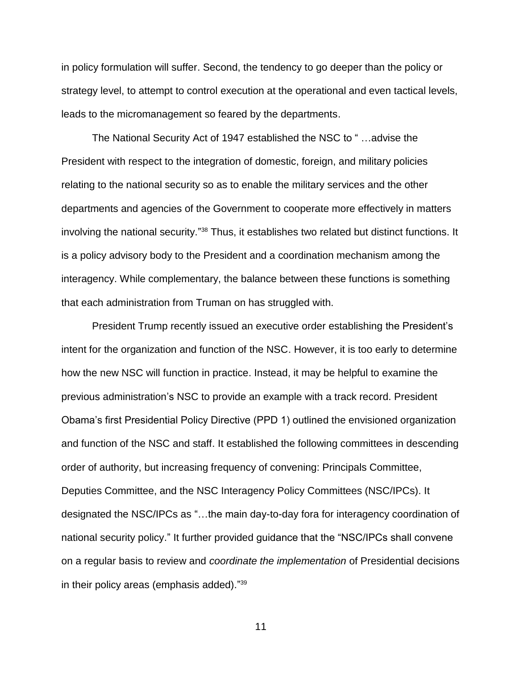in policy formulation will suffer. Second, the tendency to go deeper than the policy or strategy level, to attempt to control execution at the operational and even tactical levels, leads to the micromanagement so feared by the departments.

The National Security Act of 1947 established the NSC to " …advise the President with respect to the integration of domestic, foreign, and military policies relating to the national security so as to enable the military services and the other departments and agencies of the Government to cooperate more effectively in matters involving the national security."<sup>38</sup> Thus, it establishes two related but distinct functions. It is a policy advisory body to the President and a coordination mechanism among the interagency. While complementary, the balance between these functions is something that each administration from Truman on has struggled with.

President Trump recently issued an executive order establishing the President's intent for the organization and function of the NSC. However, it is too early to determine how the new NSC will function in practice. Instead, it may be helpful to examine the previous administration's NSC to provide an example with a track record. President Obama's first Presidential Policy Directive (PPD 1) outlined the envisioned organization and function of the NSC and staff. It established the following committees in descending order of authority, but increasing frequency of convening: Principals Committee, Deputies Committee, and the NSC Interagency Policy Committees (NSC/IPCs). It designated the NSC/IPCs as "…the main day-to-day fora for interagency coordination of national security policy." It further provided guidance that the "NSC/IPCs shall convene on a regular basis to review and *coordinate the implementation* of Presidential decisions in their policy areas (emphasis added)." 39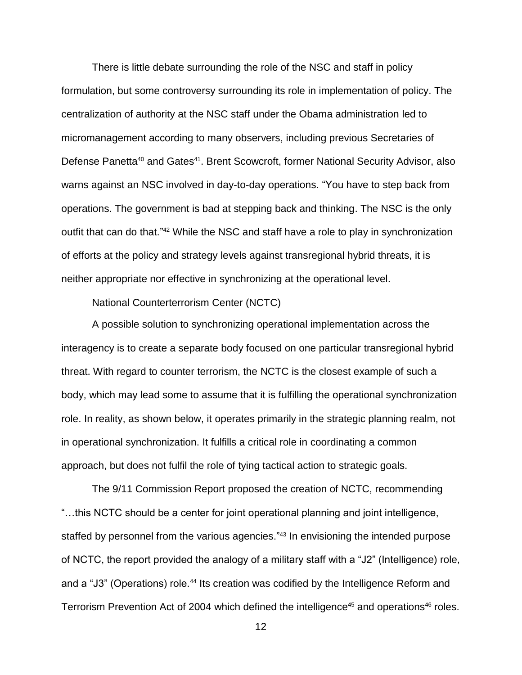There is little debate surrounding the role of the NSC and staff in policy formulation, but some controversy surrounding its role in implementation of policy. The centralization of authority at the NSC staff under the Obama administration led to micromanagement according to many observers, including previous Secretaries of Defense Panetta<sup>40</sup> and Gates<sup>41</sup>. Brent Scowcroft, former National Security Advisor, also warns against an NSC involved in day-to-day operations. "You have to step back from operations. The government is bad at stepping back and thinking. The NSC is the only outfit that can do that."<sup>42</sup> While the NSC and staff have a role to play in synchronization of efforts at the policy and strategy levels against transregional hybrid threats, it is neither appropriate nor effective in synchronizing at the operational level.

National Counterterrorism Center (NCTC)

A possible solution to synchronizing operational implementation across the interagency is to create a separate body focused on one particular transregional hybrid threat. With regard to counter terrorism, the NCTC is the closest example of such a body, which may lead some to assume that it is fulfilling the operational synchronization role. In reality, as shown below, it operates primarily in the strategic planning realm, not in operational synchronization. It fulfills a critical role in coordinating a common approach, but does not fulfil the role of tying tactical action to strategic goals.

The 9/11 Commission Report proposed the creation of NCTC, recommending "…this NCTC should be a center for joint operational planning and joint intelligence, staffed by personnel from the various agencies."<sup>43</sup> In envisioning the intended purpose of NCTC, the report provided the analogy of a military staff with a "J2" (Intelligence) role, and a "J3" (Operations) role.<sup>44</sup> Its creation was codified by the Intelligence Reform and Terrorism Prevention Act of 2004 which defined the intelligence<sup>45</sup> and operations<sup>46</sup> roles.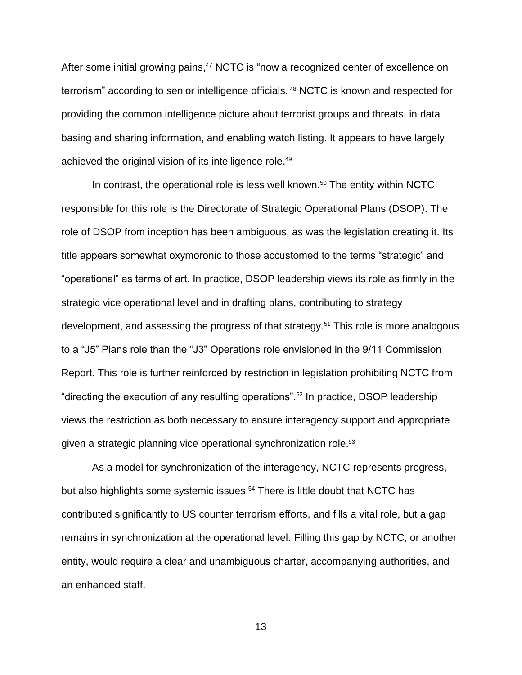After some initial growing pains,<sup>47</sup> NCTC is "now a recognized center of excellence on terrorism" according to senior intelligence officials. <sup>48</sup> NCTC is known and respected for providing the common intelligence picture about terrorist groups and threats, in data basing and sharing information, and enabling watch listing. It appears to have largely achieved the original vision of its intelligence role.<sup>49</sup>

In contrast, the operational role is less well known. <sup>50</sup> The entity within NCTC responsible for this role is the Directorate of Strategic Operational Plans (DSOP). The role of DSOP from inception has been ambiguous, as was the legislation creating it. Its title appears somewhat oxymoronic to those accustomed to the terms "strategic" and "operational" as terms of art. In practice, DSOP leadership views its role as firmly in the strategic vice operational level and in drafting plans, contributing to strategy development, and assessing the progress of that strategy.<sup>51</sup> This role is more analogous to a "J5" Plans role than the "J3" Operations role envisioned in the 9/11 Commission Report. This role is further reinforced by restriction in legislation prohibiting NCTC from "directing the execution of any resulting operations".<sup>52</sup> In practice, DSOP leadership views the restriction as both necessary to ensure interagency support and appropriate given a strategic planning vice operational synchronization role.<sup>53</sup>

As a model for synchronization of the interagency, NCTC represents progress, but also highlights some systemic issues. <sup>54</sup> There is little doubt that NCTC has contributed significantly to US counter terrorism efforts, and fills a vital role, but a gap remains in synchronization at the operational level. Filling this gap by NCTC, or another entity, would require a clear and unambiguous charter, accompanying authorities, and an enhanced staff.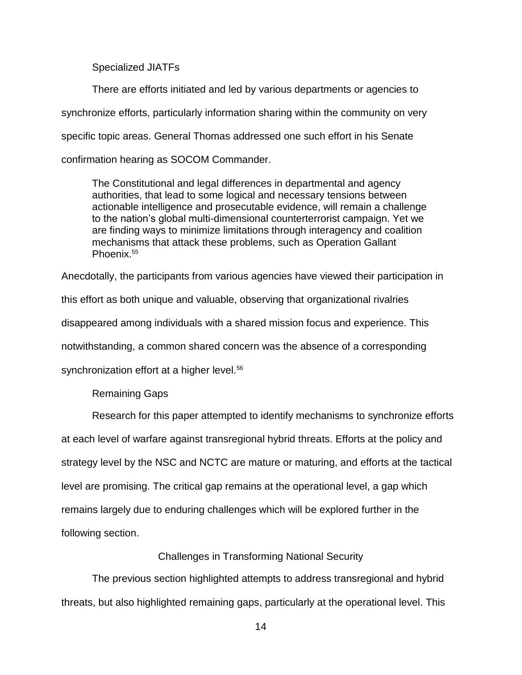Specialized JIATFs

There are efforts initiated and led by various departments or agencies to synchronize efforts, particularly information sharing within the community on very specific topic areas. General Thomas addressed one such effort in his Senate confirmation hearing as SOCOM Commander.

The Constitutional and legal differences in departmental and agency authorities, that lead to some logical and necessary tensions between actionable intelligence and prosecutable evidence, will remain a challenge to the nation's global multi-dimensional counterterrorist campaign. Yet we are finding ways to minimize limitations through interagency and coalition mechanisms that attack these problems, such as Operation Gallant Phoenix.<sup>55</sup>

Anecdotally, the participants from various agencies have viewed their participation in

this effort as both unique and valuable, observing that organizational rivalries

disappeared among individuals with a shared mission focus and experience. This

notwithstanding, a common shared concern was the absence of a corresponding

synchronization effort at a higher level.<sup>56</sup>

Remaining Gaps

Research for this paper attempted to identify mechanisms to synchronize efforts at each level of warfare against transregional hybrid threats. Efforts at the policy and strategy level by the NSC and NCTC are mature or maturing, and efforts at the tactical level are promising. The critical gap remains at the operational level, a gap which remains largely due to enduring challenges which will be explored further in the following section.

# Challenges in Transforming National Security

The previous section highlighted attempts to address transregional and hybrid threats, but also highlighted remaining gaps, particularly at the operational level. This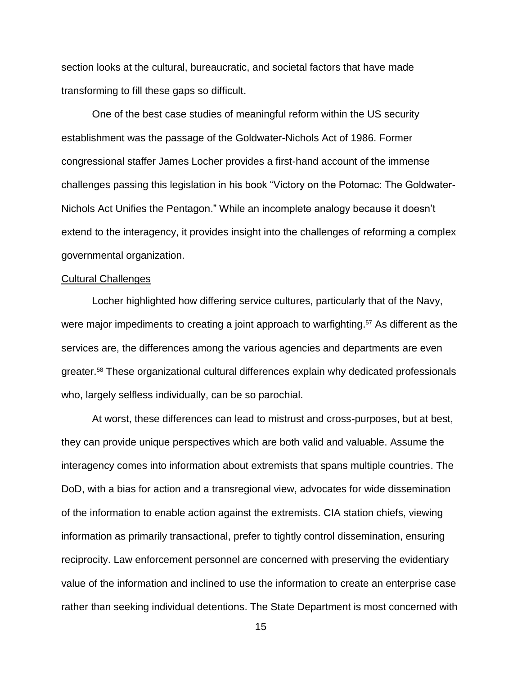section looks at the cultural, bureaucratic, and societal factors that have made transforming to fill these gaps so difficult.

One of the best case studies of meaningful reform within the US security establishment was the passage of the Goldwater-Nichols Act of 1986. Former congressional staffer James Locher provides a first-hand account of the immense challenges passing this legislation in his book "Victory on the Potomac: The Goldwater-Nichols Act Unifies the Pentagon." While an incomplete analogy because it doesn't extend to the interagency, it provides insight into the challenges of reforming a complex governmental organization.

#### Cultural Challenges

Locher highlighted how differing service cultures, particularly that of the Navy, were major impediments to creating a joint approach to warfighting. <sup>57</sup> As different as the services are, the differences among the various agencies and departments are even greater. <sup>58</sup> These organizational cultural differences explain why dedicated professionals who, largely selfless individually, can be so parochial.

At worst, these differences can lead to mistrust and cross-purposes, but at best, they can provide unique perspectives which are both valid and valuable. Assume the interagency comes into information about extremists that spans multiple countries. The DoD, with a bias for action and a transregional view, advocates for wide dissemination of the information to enable action against the extremists. CIA station chiefs, viewing information as primarily transactional, prefer to tightly control dissemination, ensuring reciprocity. Law enforcement personnel are concerned with preserving the evidentiary value of the information and inclined to use the information to create an enterprise case rather than seeking individual detentions. The State Department is most concerned with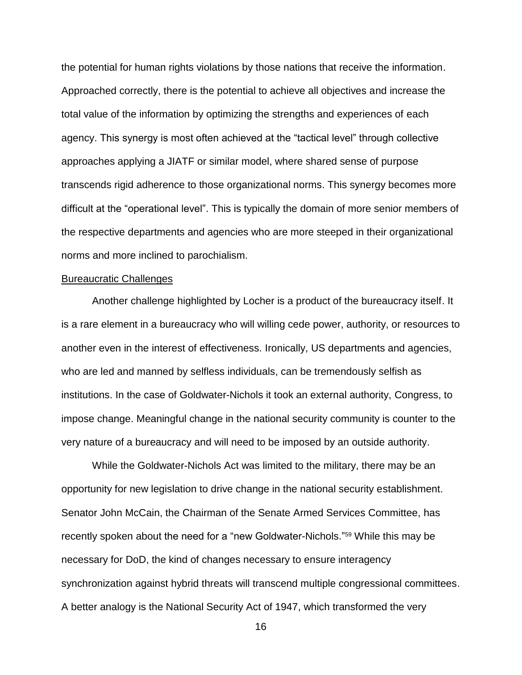the potential for human rights violations by those nations that receive the information. Approached correctly, there is the potential to achieve all objectives and increase the total value of the information by optimizing the strengths and experiences of each agency. This synergy is most often achieved at the "tactical level" through collective approaches applying a JIATF or similar model, where shared sense of purpose transcends rigid adherence to those organizational norms. This synergy becomes more difficult at the "operational level". This is typically the domain of more senior members of the respective departments and agencies who are more steeped in their organizational norms and more inclined to parochialism.

#### Bureaucratic Challenges

Another challenge highlighted by Locher is a product of the bureaucracy itself. It is a rare element in a bureaucracy who will willing cede power, authority, or resources to another even in the interest of effectiveness. Ironically, US departments and agencies, who are led and manned by selfless individuals, can be tremendously selfish as institutions. In the case of Goldwater-Nichols it took an external authority, Congress, to impose change. Meaningful change in the national security community is counter to the very nature of a bureaucracy and will need to be imposed by an outside authority.

While the Goldwater-Nichols Act was limited to the military, there may be an opportunity for new legislation to drive change in the national security establishment. Senator John McCain, the Chairman of the Senate Armed Services Committee, has recently spoken about the need for a "new Goldwater-Nichols." <sup>59</sup> While this may be necessary for DoD, the kind of changes necessary to ensure interagency synchronization against hybrid threats will transcend multiple congressional committees. A better analogy is the National Security Act of 1947, which transformed the very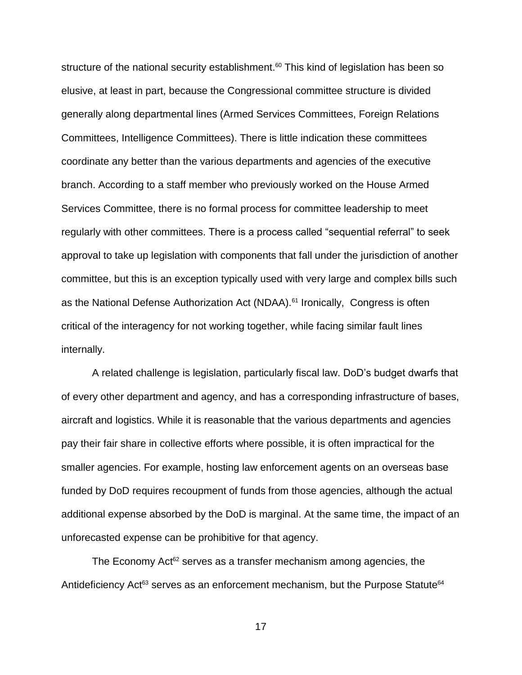structure of the national security establishment.<sup>60</sup> This kind of legislation has been so elusive, at least in part, because the Congressional committee structure is divided generally along departmental lines (Armed Services Committees, Foreign Relations Committees, Intelligence Committees). There is little indication these committees coordinate any better than the various departments and agencies of the executive branch. According to a staff member who previously worked on the House Armed Services Committee, there is no formal process for committee leadership to meet regularly with other committees. There is a process called "sequential referral" to seek approval to take up legislation with components that fall under the jurisdiction of another committee, but this is an exception typically used with very large and complex bills such as the National Defense Authorization Act (NDAA).<sup>61</sup> Ironically, Congress is often critical of the interagency for not working together, while facing similar fault lines internally.

A related challenge is legislation, particularly fiscal law. DoD's budget dwarfs that of every other department and agency, and has a corresponding infrastructure of bases, aircraft and logistics. While it is reasonable that the various departments and agencies pay their fair share in collective efforts where possible, it is often impractical for the smaller agencies. For example, hosting law enforcement agents on an overseas base funded by DoD requires recoupment of funds from those agencies, although the actual additional expense absorbed by the DoD is marginal. At the same time, the impact of an unforecasted expense can be prohibitive for that agency.

The Economy Act<sup>62</sup> serves as a transfer mechanism among agencies, the Antideficiency Act<sup>63</sup> serves as an enforcement mechanism, but the Purpose Statute<sup>64</sup>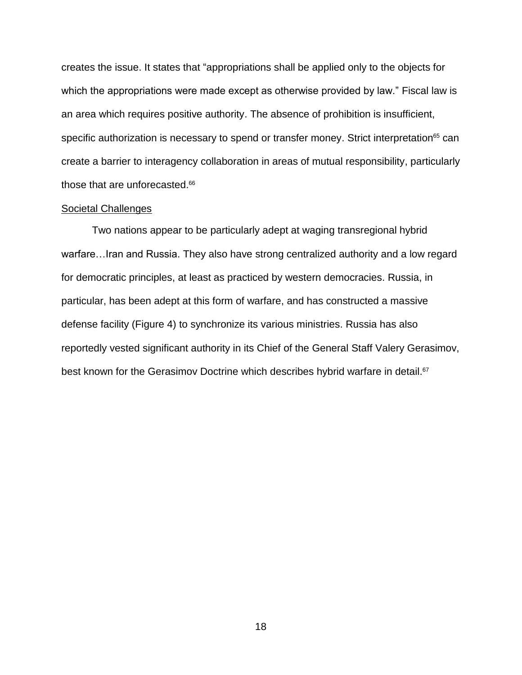creates the issue. It states that "appropriations shall be applied only to the objects for which the appropriations were made except as otherwise provided by law." Fiscal law is an area which requires positive authority. The absence of prohibition is insufficient, specific authorization is necessary to spend or transfer money. Strict interpretation<sup>65</sup> can create a barrier to interagency collaboration in areas of mutual responsibility, particularly those that are unforecasted. 66

# Societal Challenges

Two nations appear to be particularly adept at waging transregional hybrid warfare…Iran and Russia. They also have strong centralized authority and a low regard for democratic principles, at least as practiced by western democracies. Russia, in particular, has been adept at this form of warfare, and has constructed a massive defense facility (Figure 4) to synchronize its various ministries. Russia has also reportedly vested significant authority in its Chief of the General Staff Valery Gerasimov, best known for the Gerasimov Doctrine which describes hybrid warfare in detail.<sup>67</sup>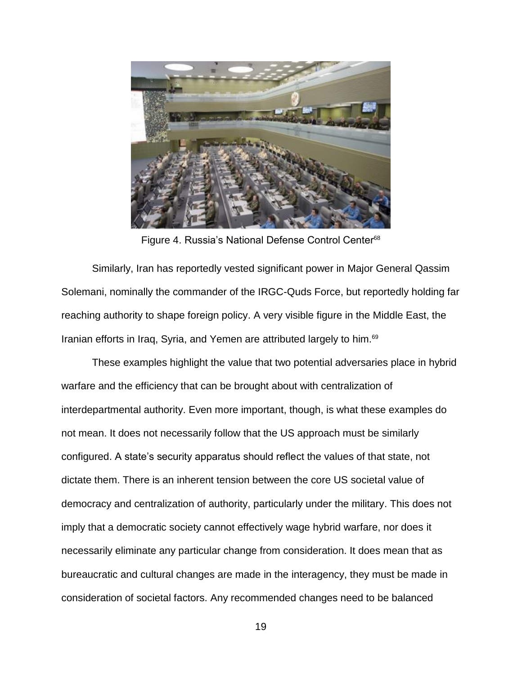

Figure 4. Russia's National Defense Control Center<sup>68</sup>

Similarly, Iran has reportedly vested significant power in Major General Qassim Solemani, nominally the commander of the IRGC-Quds Force, but reportedly holding far reaching authority to shape foreign policy. A very visible figure in the Middle East, the Iranian efforts in Iraq, Syria, and Yemen are attributed largely to him.<sup>69</sup>

These examples highlight the value that two potential adversaries place in hybrid warfare and the efficiency that can be brought about with centralization of interdepartmental authority. Even more important, though, is what these examples do not mean. It does not necessarily follow that the US approach must be similarly configured. A state's security apparatus should reflect the values of that state, not dictate them. There is an inherent tension between the core US societal value of democracy and centralization of authority, particularly under the military. This does not imply that a democratic society cannot effectively wage hybrid warfare, nor does it necessarily eliminate any particular change from consideration. It does mean that as bureaucratic and cultural changes are made in the interagency, they must be made in consideration of societal factors. Any recommended changes need to be balanced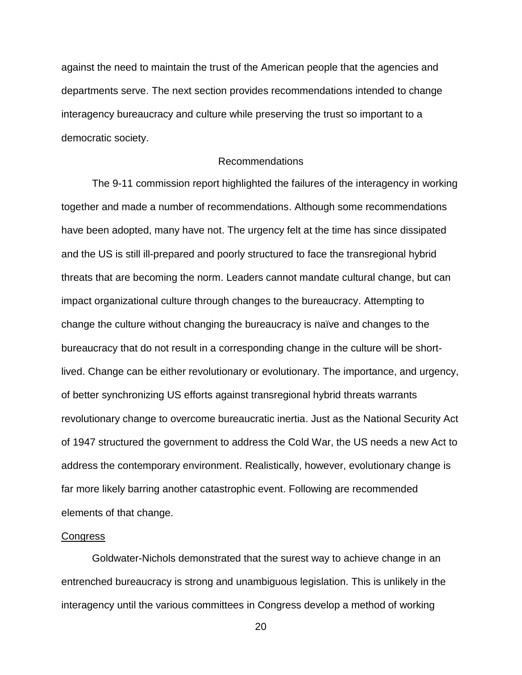against the need to maintain the trust of the American people that the agencies and departments serve. The next section provides recommendations intended to change interagency bureaucracy and culture while preserving the trust so important to a democratic society.

# Recommendations

The 9-11 commission report highlighted the failures of the interagency in working together and made a number of recommendations. Although some recommendations have been adopted, many have not. The urgency felt at the time has since dissipated and the US is still ill-prepared and poorly structured to face the transregional hybrid threats that are becoming the norm. Leaders cannot mandate cultural change, but can impact organizational culture through changes to the bureaucracy. Attempting to change the culture without changing the bureaucracy is naïve and changes to the bureaucracy that do not result in a corresponding change in the culture will be shortlived. Change can be either revolutionary or evolutionary. The importance, and urgency, of better synchronizing US efforts against transregional hybrid threats warrants revolutionary change to overcome bureaucratic inertia. Just as the National Security Act of 1947 structured the government to address the Cold War, the US needs a new Act to address the contemporary environment. Realistically, however, evolutionary change is far more likely barring another catastrophic event. Following are recommended elements of that change.

#### **Congress**

Goldwater-Nichols demonstrated that the surest way to achieve change in an entrenched bureaucracy is strong and unambiguous legislation. This is unlikely in the interagency until the various committees in Congress develop a method of working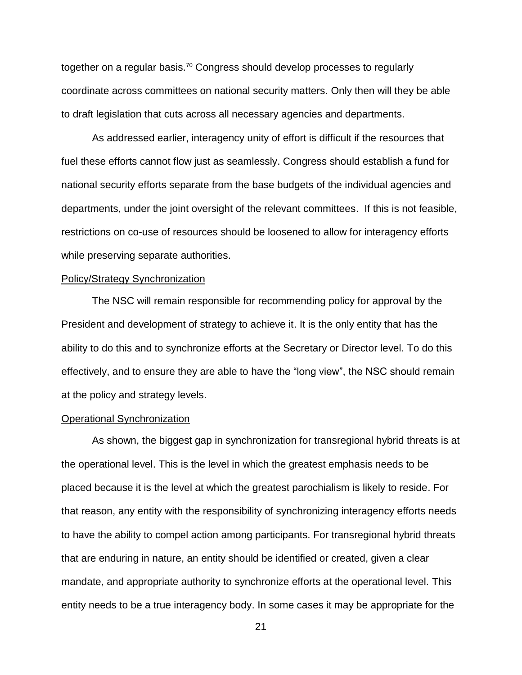together on a regular basis.<sup>70</sup> Congress should develop processes to regularly coordinate across committees on national security matters. Only then will they be able to draft legislation that cuts across all necessary agencies and departments.

As addressed earlier, interagency unity of effort is difficult if the resources that fuel these efforts cannot flow just as seamlessly. Congress should establish a fund for national security efforts separate from the base budgets of the individual agencies and departments, under the joint oversight of the relevant committees. If this is not feasible, restrictions on co-use of resources should be loosened to allow for interagency efforts while preserving separate authorities.

#### Policy/Strategy Synchronization

The NSC will remain responsible for recommending policy for approval by the President and development of strategy to achieve it. It is the only entity that has the ability to do this and to synchronize efforts at the Secretary or Director level. To do this effectively, and to ensure they are able to have the "long view", the NSC should remain at the policy and strategy levels.

#### Operational Synchronization

As shown, the biggest gap in synchronization for transregional hybrid threats is at the operational level. This is the level in which the greatest emphasis needs to be placed because it is the level at which the greatest parochialism is likely to reside. For that reason, any entity with the responsibility of synchronizing interagency efforts needs to have the ability to compel action among participants. For transregional hybrid threats that are enduring in nature, an entity should be identified or created, given a clear mandate, and appropriate authority to synchronize efforts at the operational level. This entity needs to be a true interagency body. In some cases it may be appropriate for the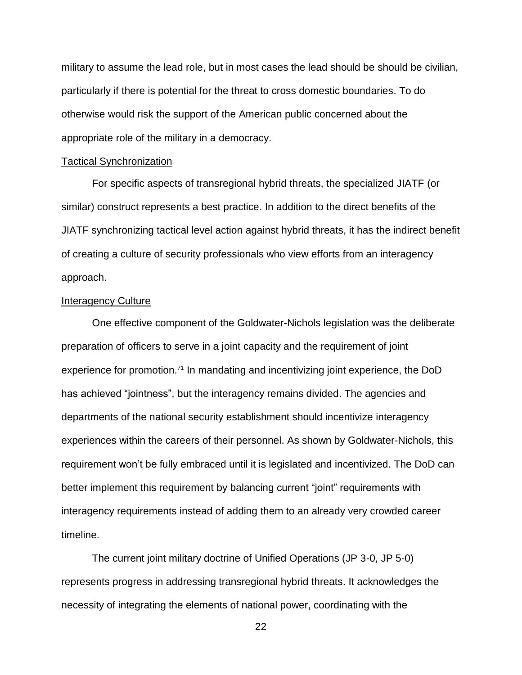military to assume the lead role, but in most cases the lead should be should be civilian, particularly if there is potential for the threat to cross domestic boundaries. To do otherwise would risk the support of the American public concerned about the appropriate role of the military in a democracy.

#### Tactical Synchronization

For specific aspects of transregional hybrid threats, the specialized JIATF (or similar) construct represents a best practice. In addition to the direct benefits of the JIATF synchronizing tactical level action against hybrid threats, it has the indirect benefit of creating a culture of security professionals who view efforts from an interagency approach.

### Interagency Culture

One effective component of the Goldwater-Nichols legislation was the deliberate preparation of officers to serve in a joint capacity and the requirement of joint experience for promotion.<sup>71</sup> In mandating and incentivizing joint experience, the DoD has achieved "jointness", but the interagency remains divided. The agencies and departments of the national security establishment should incentivize interagency experiences within the careers of their personnel. As shown by Goldwater-Nichols, this requirement won't be fully embraced until it is legislated and incentivized. The DoD can better implement this requirement by balancing current "joint" requirements with interagency requirements instead of adding them to an already very crowded career timeline.

The current joint military doctrine of Unified Operations (JP 3-0, JP 5-0) represents progress in addressing transregional hybrid threats. It acknowledges the necessity of integrating the elements of national power, coordinating with the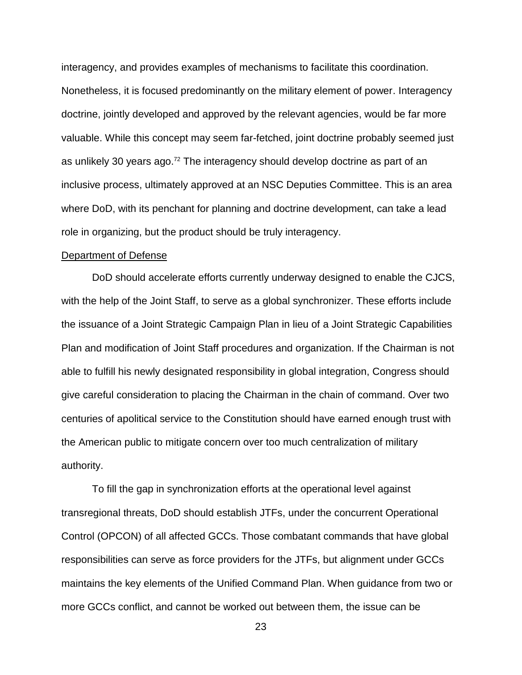interagency, and provides examples of mechanisms to facilitate this coordination. Nonetheless, it is focused predominantly on the military element of power. Interagency doctrine, jointly developed and approved by the relevant agencies, would be far more valuable. While this concept may seem far-fetched, joint doctrine probably seemed just as unlikely 30 years ago.<sup>72</sup> The interagency should develop doctrine as part of an inclusive process, ultimately approved at an NSC Deputies Committee. This is an area where DoD, with its penchant for planning and doctrine development, can take a lead role in organizing, but the product should be truly interagency.

#### Department of Defense

DoD should accelerate efforts currently underway designed to enable the CJCS, with the help of the Joint Staff, to serve as a global synchronizer. These efforts include the issuance of a Joint Strategic Campaign Plan in lieu of a Joint Strategic Capabilities Plan and modification of Joint Staff procedures and organization. If the Chairman is not able to fulfill his newly designated responsibility in global integration, Congress should give careful consideration to placing the Chairman in the chain of command. Over two centuries of apolitical service to the Constitution should have earned enough trust with the American public to mitigate concern over too much centralization of military authority.

To fill the gap in synchronization efforts at the operational level against transregional threats, DoD should establish JTFs, under the concurrent Operational Control (OPCON) of all affected GCCs. Those combatant commands that have global responsibilities can serve as force providers for the JTFs, but alignment under GCCs maintains the key elements of the Unified Command Plan. When guidance from two or more GCCs conflict, and cannot be worked out between them, the issue can be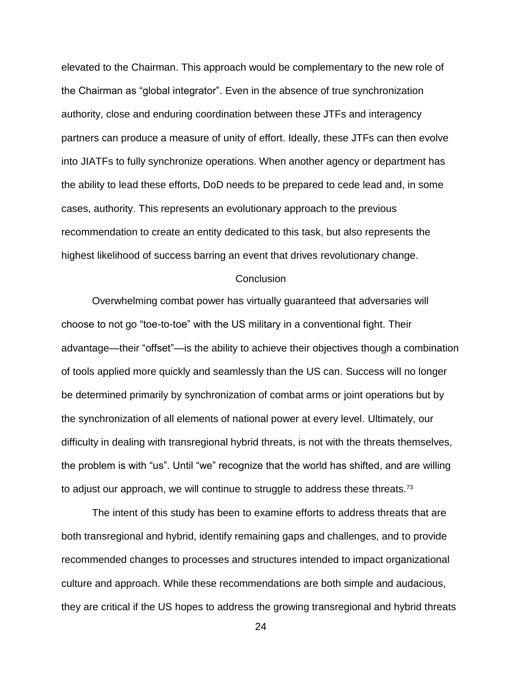elevated to the Chairman. This approach would be complementary to the new role of the Chairman as "global integrator". Even in the absence of true synchronization authority, close and enduring coordination between these JTFs and interagency partners can produce a measure of unity of effort. Ideally, these JTFs can then evolve into JIATFs to fully synchronize operations. When another agency or department has the ability to lead these efforts, DoD needs to be prepared to cede lead and, in some cases, authority. This represents an evolutionary approach to the previous recommendation to create an entity dedicated to this task, but also represents the highest likelihood of success barring an event that drives revolutionary change.

#### **Conclusion**

Overwhelming combat power has virtually guaranteed that adversaries will choose to not go "toe-to-toe" with the US military in a conventional fight. Their advantage—their "offset"—is the ability to achieve their objectives though a combination of tools applied more quickly and seamlessly than the US can. Success will no longer be determined primarily by synchronization of combat arms or joint operations but by the synchronization of all elements of national power at every level. Ultimately, our difficulty in dealing with transregional hybrid threats, is not with the threats themselves, the problem is with "us". Until "we" recognize that the world has shifted, and are willing to adjust our approach, we will continue to struggle to address these threats.<sup>73</sup>

The intent of this study has been to examine efforts to address threats that are both transregional and hybrid, identify remaining gaps and challenges, and to provide recommended changes to processes and structures intended to impact organizational culture and approach. While these recommendations are both simple and audacious, they are critical if the US hopes to address the growing transregional and hybrid threats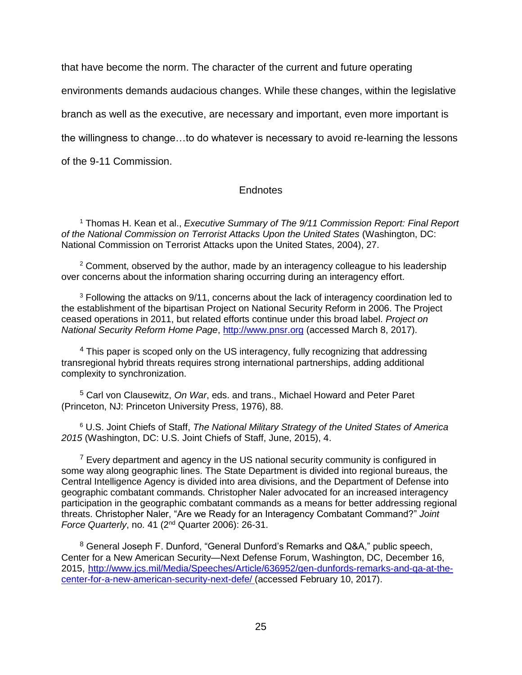that have become the norm. The character of the current and future operating

environments demands audacious changes. While these changes, within the legislative

branch as well as the executive, are necessary and important, even more important is

the willingness to change…to do whatever is necessary to avoid re-learning the lessons

of the 9-11 Commission.

# **Endnotes**

<sup>1</sup> Thomas H. Kean et al., *Executive Summary of The 9/11 Commission Report: Final Report of the National Commission on Terrorist Attacks Upon the United States* (Washington, DC: National Commission on Terrorist Attacks upon the United States, 2004), 27.

 $2$  Comment, observed by the author, made by an interagency colleague to his leadership over concerns about the information sharing occurring during an interagency effort.

 $3$  Following the attacks on  $9/11$ , concerns about the lack of interagency coordination led to the establishment of the bipartisan Project on National Security Reform in 2006. The Project ceased operations in 2011, but related efforts continue under this broad label. *Project on National Security Reform Home Page*, [http://www.pnsr.org](http://www.pnsr.org/) (accessed March 8, 2017).

<sup>4</sup> This paper is scoped only on the US interagency, fully recognizing that addressing transregional hybrid threats requires strong international partnerships, adding additional complexity to synchronization.

<sup>5</sup> Carl von Clausewitz, *On War*, eds. and trans., Michael Howard and Peter Paret (Princeton, NJ: Princeton University Press, 1976), 88.

<sup>6</sup> U.S. Joint Chiefs of Staff, *The National Military Strategy of the United States of America 2015* (Washington, DC: U.S. Joint Chiefs of Staff, June, 2015), 4.

 $<sup>7</sup>$  Every department and agency in the US national security community is configured in</sup> some way along geographic lines. The State Department is divided into regional bureaus, the Central Intelligence Agency is divided into area divisions, and the Department of Defense into geographic combatant commands. Christopher Naler advocated for an increased interagency participation in the geographic combatant commands as a means for better addressing regional threats. Christopher Naler, "Are we Ready for an Interagency Combatant Command?" *Joint Force Quarterly*, no. 41 (2nd Quarter 2006): 26-31.

<sup>8</sup> General Joseph F. Dunford, "General Dunford's Remarks and Q&A," public speech, Center for a New American Security—Next Defense Forum, Washington, DC, December 16, 2015, [http://www.jcs.mil/Media/Speeches/Article/636952/gen-dunfords-remarks-and-qa-at-the](http://www.jcs.mil/Media/Speeches/Article/636952/gen-dunfords-remarks-and-qa-at-the-center-for-a-new-american-security-next-defe/)[center-for-a-new-american-security-next-defe/](http://www.jcs.mil/Media/Speeches/Article/636952/gen-dunfords-remarks-and-qa-at-the-center-for-a-new-american-security-next-defe/) (accessed February 10, 2017).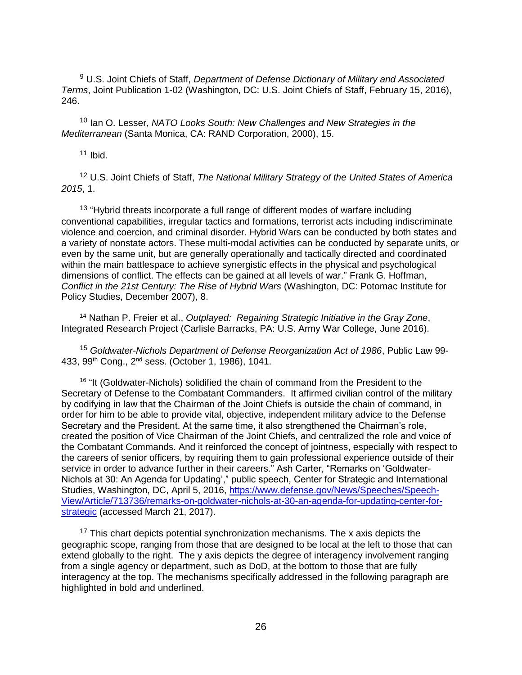<sup>9</sup> U.S. Joint Chiefs of Staff, *Department of Defense Dictionary of Military and Associated Terms*, Joint Publication 1-02 (Washington, DC: U.S. Joint Chiefs of Staff, February 15, 2016), 246.

<sup>10</sup> Ian O. Lesser, *NATO Looks South: New Challenges and New Strategies in the Mediterranean* (Santa Monica, CA: RAND Corporation, 2000), 15.

 $11$  Ibid.

<sup>12</sup> U.S. Joint Chiefs of Staff, *The National Military Strategy of the United States of America 2015*, 1.

<sup>13</sup> "Hybrid threats incorporate a full range of different modes of warfare including conventional capabilities, irregular tactics and formations, terrorist acts including indiscriminate violence and coercion, and criminal disorder. Hybrid Wars can be conducted by both states and a variety of nonstate actors. These multi-modal activities can be conducted by separate units, or even by the same unit, but are generally operationally and tactically directed and coordinated within the main battlespace to achieve synergistic effects in the physical and psychological dimensions of conflict. The effects can be gained at all levels of war." Frank G. Hoffman, *Conflict in the 21st Century: The Rise of Hybrid Wars* (Washington, DC: Potomac Institute for Policy Studies, December 2007), 8.

<sup>14</sup> Nathan P. Freier et al., *Outplayed: Regaining Strategic Initiative in the Gray Zone*, Integrated Research Project (Carlisle Barracks, PA: U.S. Army War College, June 2016).

<sup>15</sup> *Goldwater-Nichols Department of Defense Reorganization Act of 1986*, Public Law 99- 433, 99<sup>th</sup> Cong., 2<sup>nd</sup> sess. (October 1, 1986), 1041.

<sup>16</sup> "It (Goldwater-Nichols) solidified the chain of command from the President to the Secretary of Defense to the Combatant Commanders. It affirmed civilian control of the military by codifying in law that the Chairman of the Joint Chiefs is outside the chain of command, in order for him to be able to provide vital, objective, independent military advice to the Defense Secretary and the President. At the same time, it also strengthened the Chairman's role, created the position of Vice Chairman of the Joint Chiefs, and centralized the role and voice of the Combatant Commands. And it reinforced the concept of jointness, especially with respect to the careers of senior officers, by requiring them to gain professional experience outside of their service in order to advance further in their careers." Ash Carter, "Remarks on 'Goldwater-Nichols at 30: An Agenda for Updating'," public speech, Center for Strategic and International Studies, Washington, DC, April 5, 2016, [https://www.defense.gov/News/Speeches/Speech-](https://www.defense.gov/News/Speeches/Speech-View/Article/713736/remarks-on-goldwater-nichols-at-30-an-agenda-for-updating-center-for-strategic)[View/Article/713736/remarks-on-goldwater-nichols-at-30-an-agenda-for-updating-center-for](https://www.defense.gov/News/Speeches/Speech-View/Article/713736/remarks-on-goldwater-nichols-at-30-an-agenda-for-updating-center-for-strategic)[strategic](https://www.defense.gov/News/Speeches/Speech-View/Article/713736/remarks-on-goldwater-nichols-at-30-an-agenda-for-updating-center-for-strategic) (accessed March 21, 2017).

 $17$  This chart depicts potential synchronization mechanisms. The x axis depicts the geographic scope, ranging from those that are designed to be local at the left to those that can extend globally to the right. The y axis depicts the degree of interagency involvement ranging from a single agency or department, such as DoD, at the bottom to those that are fully interagency at the top. The mechanisms specifically addressed in the following paragraph are highlighted in bold and underlined.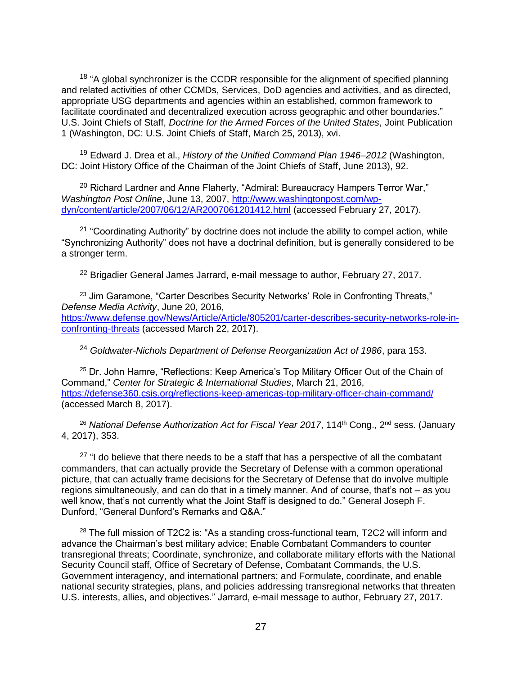<sup>18</sup> "A global synchronizer is the CCDR responsible for the alignment of specified planning and related activities of other CCMDs, Services, DoD agencies and activities, and as directed, appropriate USG departments and agencies within an established, common framework to facilitate coordinated and decentralized execution across geographic and other boundaries." U.S. Joint Chiefs of Staff, *Doctrine for the Armed Forces of the United States*, Joint Publication 1 (Washington, DC: U.S. Joint Chiefs of Staff, March 25, 2013), xvi.

<sup>19</sup> Edward J. Drea et al., *History of the Unified Command Plan 1946–2012* (Washington, DC: Joint History Office of the Chairman of the Joint Chiefs of Staff, June 2013), 92.

 $20$  Richard Lardner and Anne Flaherty, "Admiral: Bureaucracy Hampers Terror War," *Washington Post Online*, June 13, 2007, [http://www.washingtonpost.com/wp](http://www.washingtonpost.com/wp-dyn/content/article/2007/06/12/AR2007061201412.html)[dyn/content/article/2007/06/12/AR2007061201412.html](http://www.washingtonpost.com/wp-dyn/content/article/2007/06/12/AR2007061201412.html) (accessed February 27, 2017).

<sup>21</sup> "Coordinating Authority" by doctrine does not include the ability to compel action, while "Synchronizing Authority" does not have a doctrinal definition, but is generally considered to be a stronger term.

<sup>22</sup> Brigadier General James Jarrard, e-mail message to author, February 27, 2017.

<sup>23</sup> Jim Garamone, "Carter Describes Security Networks' Role in Confronting Threats," *Defense Media Activity*, June 20, 2016, [https://www.defense.gov/News/Article/Article/805201/carter-describes-security-networks-role-in](https://www.defense.gov/News/Article/Article/805201/carter-describes-security-networks-role-in-confronting-threats)[confronting-threats](https://www.defense.gov/News/Article/Article/805201/carter-describes-security-networks-role-in-confronting-threats) (accessed March 22, 2017).

<sup>24</sup> *Goldwater-Nichols Department of Defense Reorganization Act of 1986*, para 153.

<sup>25</sup> Dr. John Hamre, "Reflections: Keep America's Top Military Officer Out of the Chain of Command," *Center for Strategic & International Studies*, March 21, 2016, <https://defense360.csis.org/reflections-keep-americas-top-military-officer-chain-command/> (accessed March 8, 2017).

<sup>26</sup> National Defense Authorization Act for Fiscal Year 2017, 114<sup>th</sup> Cong., 2<sup>nd</sup> sess. (January 4, 2017), 353.

 $27$  "I do believe that there needs to be a staff that has a perspective of all the combatant commanders, that can actually provide the Secretary of Defense with a common operational picture, that can actually frame decisions for the Secretary of Defense that do involve multiple regions simultaneously, and can do that in a timely manner. And of course, that's not – as you well know, that's not currently what the Joint Staff is designed to do." General Joseph F. Dunford, "General Dunford's Remarks and Q&A."

<sup>28</sup> The full mission of T2C2 is: "As a standing cross-functional team, T2C2 will inform and advance the Chairman's best military advice; Enable Combatant Commanders to counter transregional threats; Coordinate, synchronize, and collaborate military efforts with the National Security Council staff, Office of Secretary of Defense, Combatant Commands, the U.S. Government interagency, and international partners; and Formulate, coordinate, and enable national security strategies, plans, and policies addressing transregional networks that threaten U.S. interests, allies, and objectives." Jarrard, e-mail message to author, February 27, 2017.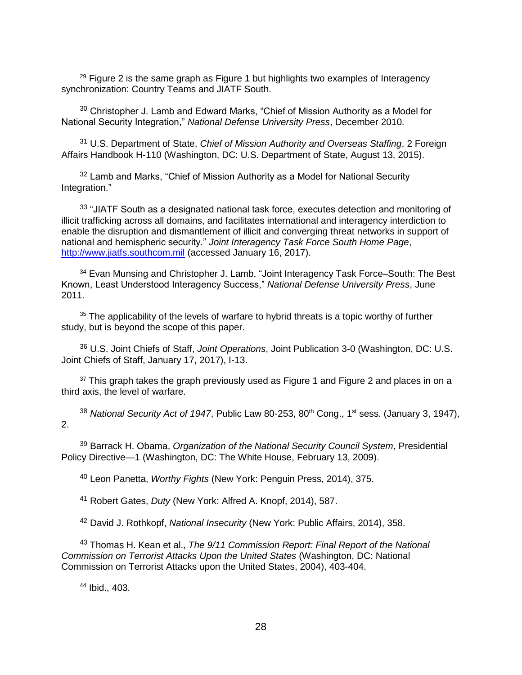$29$  Figure 2 is the same graph as Figure 1 but highlights two examples of Interagency synchronization: Country Teams and JIATF South.

 $30$  Christopher J. Lamb and Edward Marks, "Chief of Mission Authority as a Model for National Security Integration," *National Defense University Press*, December 2010.

<sup>31</sup> U.S. Department of State, *Chief of Mission Authority and Overseas Staffing*, 2 Foreign Affairs Handbook H-110 (Washington, DC: U.S. Department of State, August 13, 2015).

 $32$  Lamb and Marks, "Chief of Mission Authority as a Model for National Security Integration."

33 "JIATF South as a designated national task force, executes detection and monitoring of illicit trafficking across all domains, and facilitates international and interagency interdiction to enable the disruption and dismantlement of illicit and converging threat networks in support of national and hemispheric security." *Joint Interagency Task Force South Home Page*, [http://www.jiatfs.southcom.mil](http://www.jiatfs.southcom.mil/) (accessed January 16, 2017).

<sup>34</sup> Evan Munsing and Christopher J. Lamb, "Joint Interagency Task Force–South: The Best Known, Least Understood Interagency Success," *National Defense University Press*, June 2011.

 $35$  The applicability of the levels of warfare to hybrid threats is a topic worthy of further study, but is beyond the scope of this paper.

<sup>36</sup> U.S. Joint Chiefs of Staff, *Joint Operations*, Joint Publication 3-0 (Washington, DC: U.S. Joint Chiefs of Staff, January 17, 2017), I-13.

 $37$  This graph takes the graph previously used as Figure 1 and Figure 2 and places in on a third axis, the level of warfare.

<sup>38</sup> National Security Act of 1947, Public Law 80-253, 80<sup>th</sup> Cong., 1<sup>st</sup> sess. (January 3, 1947), 2.

<sup>39</sup> Barrack H. Obama, *Organization of the National Security Council System*, Presidential Policy Directive—1 (Washington, DC: The White House, February 13, 2009).

<sup>40</sup> Leon Panetta, *Worthy Fights* (New York: Penguin Press, 2014), 375.

<sup>41</sup> Robert Gates, *Duty* (New York: Alfred A. Knopf, 2014), 587.

<sup>42</sup> David J. Rothkopf, *National Insecurity* (New York: Public Affairs, 2014), 358.

<sup>43</sup> Thomas H. Kean et al., *The 9/11 Commission Report: Final Report of the National Commission on Terrorist Attacks Upon the United States* (Washington, DC: National Commission on Terrorist Attacks upon the United States, 2004), 403-404.

<sup>44</sup> Ibid., 403.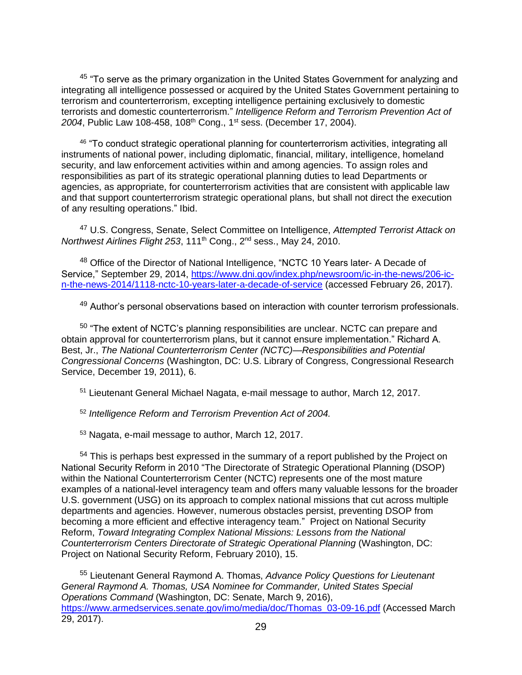<sup>45</sup> "To serve as the primary organization in the United States Government for analyzing and integrating all intelligence possessed or acquired by the United States Government pertaining to terrorism and counterterrorism, excepting intelligence pertaining exclusively to domestic terrorists and domestic counterterrorism." *Intelligence Reform and Terrorism Prevention Act of*  2004, Public Law 108-458, 108<sup>th</sup> Cong., 1<sup>st</sup> sess. (December 17, 2004).

<sup>46</sup> "To conduct strategic operational planning for counterterrorism activities, integrating all instruments of national power, including diplomatic, financial, military, intelligence, homeland security, and law enforcement activities within and among agencies. To assign roles and responsibilities as part of its strategic operational planning duties to lead Departments or agencies, as appropriate, for counterterrorism activities that are consistent with applicable law and that support counterterrorism strategic operational plans, but shall not direct the execution of any resulting operations." Ibid.

<sup>47</sup> U.S. Congress, Senate, Select Committee on Intelligence, *Attempted Terrorist Attack on Northwest Airlines Flight 253*, 111th Cong., 2nd sess., May 24, 2010.

<sup>48</sup> Office of the Director of National Intelligence, "NCTC 10 Years later- A Decade of Service," September 29, 2014, [https://www.dni.gov/index.php/newsroom/ic-in-the-news/206-ic](https://www.dni.gov/index.php/newsroom/ic-in-the-news/206-ic-n-the-news-2014/1118-nctc-10-years-later-a-decade-of-service)[n-the-news-2014/1118-nctc-10-years-later-a-decade-of-service](https://www.dni.gov/index.php/newsroom/ic-in-the-news/206-ic-n-the-news-2014/1118-nctc-10-years-later-a-decade-of-service) (accessed February 26, 2017).

49 Author's personal observations based on interaction with counter terrorism professionals.

<sup>50</sup> "The extent of NCTC's planning responsibilities are unclear. NCTC can prepare and obtain approval for counterterrorism plans, but it cannot ensure implementation." Richard A. Best, Jr., *The National Counterterrorism Center (NCTC)—Responsibilities and Potential Congressional Concerns* (Washington, DC: U.S. Library of Congress, Congressional Research Service, December 19, 2011), 6.

<sup>51</sup> Lieutenant General Michael Nagata, e-mail message to author, March 12, 2017.

<sup>52</sup> *Intelligence Reform and Terrorism Prevention Act of 2004.*

<sup>53</sup> Nagata, e-mail message to author, March 12, 2017.

<sup>54</sup> This is perhaps best expressed in the summary of a report published by the Project on National Security Reform in 2010 "The Directorate of Strategic Operational Planning (DSOP) within the National Counterterrorism Center (NCTC) represents one of the most mature examples of a national-level interagency team and offers many valuable lessons for the broader U.S. government (USG) on its approach to complex national missions that cut across multiple departments and agencies. However, numerous obstacles persist, preventing DSOP from becoming a more efficient and effective interagency team." Project on National Security Reform, *Toward Integrating Complex National Missions: Lessons from the National Counterterrorism Centers Directorate of Strategic Operational Planning* (Washington, DC: Project on National Security Reform, February 2010), 15.

<sup>55</sup> Lieutenant General Raymond A. Thomas, *Advance Policy Questions for Lieutenant General Raymond A. Thomas, USA Nominee for Commander, United States Special Operations Command* (Washington, DC: Senate, March 9, 2016), [https://www.armedservices.senate.gov/imo/media/doc/Thomas\\_03-09-16.pdf](https://www.armedservices.senate.gov/imo/media/doc/Thomas_03-09-16.pdf) (Accessed March 29, 2017).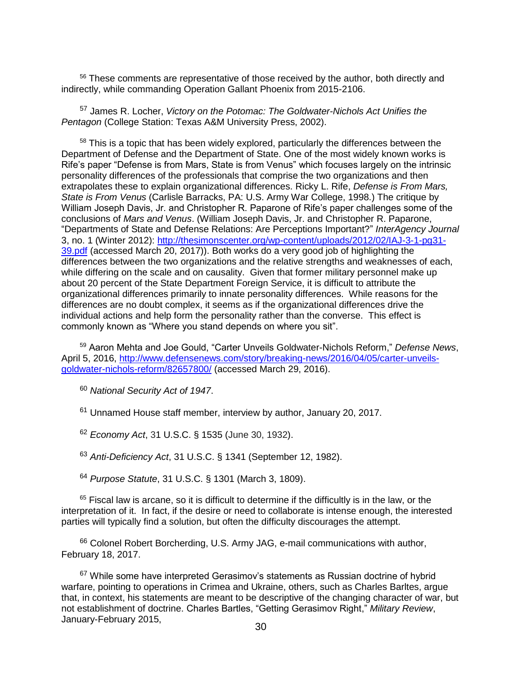<sup>56</sup> These comments are representative of those received by the author, both directly and indirectly, while commanding Operation Gallant Phoenix from 2015-2106.

<sup>57</sup> James R. Locher, *Victory on the Potomac: The Goldwater-Nichols Act Unifies the Pentagon* (College Station: Texas A&M University Press, 2002).

<sup>58</sup> This is a topic that has been widely explored, particularly the differences between the Department of Defense and the Department of State. One of the most widely known works is Rife's paper "Defense is from Mars, State is from Venus" which focuses largely on the intrinsic personality differences of the professionals that comprise the two organizations and then extrapolates these to explain organizational differences. Ricky L. Rife, *Defense is From Mars, State is From Venus* (Carlisle Barracks, PA: U.S. Army War College, 1998.) The critique by William Joseph Davis, Jr. and Christopher R. Paparone of Rife's paper challenges some of the conclusions of *Mars and Venus*. (William Joseph Davis, Jr. and Christopher R. Paparone, "Departments of State and Defense Relations: Are Perceptions Important?" *InterAgency Journal*  3, no. 1 (Winter 2012): [http://thesimonscenter.org/wp-content/uploads/2012/02/IAJ-3-1-pg31-](http://thesimonscenter.org/wp-content/uploads/2012/02/IAJ-3-1-pg31-39.pdf) [39.pdf](http://thesimonscenter.org/wp-content/uploads/2012/02/IAJ-3-1-pg31-39.pdf) (accessed March 20, 2017)). Both works do a very good job of highlighting the differences between the two organizations and the relative strengths and weaknesses of each, while differing on the scale and on causality. Given that former military personnel make up about 20 percent of the State Department Foreign Service, it is difficult to attribute the organizational differences primarily to innate personality differences. While reasons for the differences are no doubt complex, it seems as if the organizational differences drive the individual actions and help form the personality rather than the converse. This effect is commonly known as "Where you stand depends on where you sit".

<sup>59</sup> Aaron Mehta and Joe Gould, "Carter Unveils Goldwater-Nichols Reform," *Defense News*, April 5, 2016, [http://www.defensenews.com/story/breaking-news/2016/04/05/carter-unveils](http://www.defensenews.com/story/breaking-news/2016/04/05/carter-unveils-goldwater-nichols-reform/82657800/)[goldwater-nichols-reform/82657800/](http://www.defensenews.com/story/breaking-news/2016/04/05/carter-unveils-goldwater-nichols-reform/82657800/) (accessed March 29, 2016).

<sup>60</sup> *National Security Act of 1947*.

<sup>61</sup> Unnamed House staff member, interview by author, January 20, 2017.

<sup>62</sup> *Economy Act*, 31 U.S.C. § 1535 (June 30, 1932).

<sup>63</sup> *Anti-Deficiency Act*, 31 U.S.C. § 1341 (September 12, 1982).

<sup>64</sup> *Purpose Statute*, 31 U.S.C. § 1301 (March 3, 1809).

 $65$  Fiscal law is arcane, so it is difficult to determine if the difficultly is in the law, or the interpretation of it. In fact, if the desire or need to collaborate is intense enough, the interested parties will typically find a solution, but often the difficulty discourages the attempt.

 $66$  Colonel Robert Borcherding, U.S. Army JAG, e-mail communications with author, February 18, 2017.

 $67$  While some have interpreted Gerasimov's statements as Russian doctrine of hybrid warfare, pointing to operations in Crimea and Ukraine, others, such as Charles Barltes, argue that, in context, his statements are meant to be descriptive of the changing character of war, but not establishment of doctrine. Charles Bartles, "Getting Gerasimov Right," *Military Review*, January-February 2015,